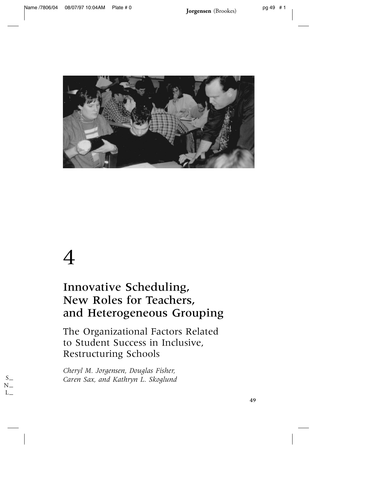

# 4

 $S_{-}$  $N_{-}$  $L_{-}$ 

# Innovative Scheduling, New Roles for Teachers, and Heterogeneous Grouping

The Organizational Factors Related to Student Success in Inclusive, Restructuring Schools

*Cheryl M. Jorgensen, Douglas Fisher, Caren Sax, and Kathryn L. Skoglund*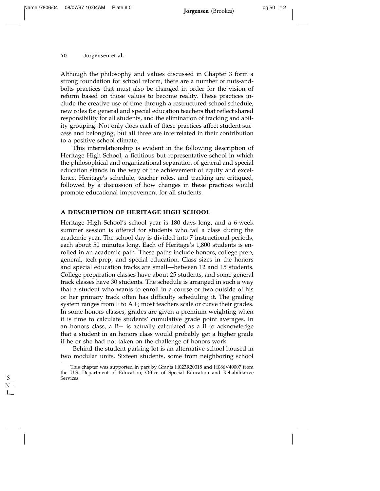Although the philosophy and values discussed in Chapter 3 form a strong foundation for school reform, there are a number of nuts-andbolts practices that must also be changed in order for the vision of reform based on those values to become reality. These practices include the creative use of time through a restructured school schedule, new roles for general and special education teachers that reflect shared responsibility for all students, and the elimination of tracking and ability grouping. Not only does each of these practices affect student success and belonging, but all three are interrelated in their contribution to a positive school climate.

This interrelationship is evident in the following description of Heritage High School, a fictitious but representative school in which the philosophical and organizational separation of general and special education stands in the way of the achievement of equity and excellence. Heritage's schedule, teacher roles, and tracking are critiqued, followed by a discussion of how changes in these practices would promote educational improvement for all students.

#### **A DESCRIPTION OF HERITAGE HIGH SCHOOL**

Heritage High School's school year is 180 days long, and a 6-week summer session is offered for students who fail a class during the academic year. The school day is divided into 7 instructional periods, each about 50 minutes long. Each of Heritage's 1,800 students is enrolled in an academic path. These paths include honors, college prep, general, tech-prep, and special education. Class sizes in the honors and special education tracks are small—between 12 and 15 students. College preparation classes have about 25 students, and some general track classes have 30 students. The schedule is arranged in such a way that a student who wants to enroll in a course or two outside of his or her primary track often has difficulty scheduling it. The grading system ranges from  $F$  to  $A+$ ; most teachers scale or curve their grades. In some honors classes, grades are given a premium weighting when it is time to calculate students' cumulative grade point averages. In an honors class, a B- is actually calculated as a B to acknowledge that a student in an honors class would probably get a higher grade if he or she had not taken on the challenge of honors work.

Behind the student parking lot is an alternative school housed in two modular units. Sixteen students, some from neighboring school

This chapter was supported in part by Grants H023R20018 and H086V40007 from the U.S. Department of Education, Office of Special Education and Rehabilitative Services.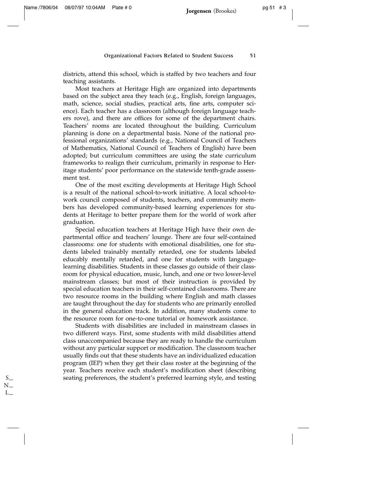**Jorgensen** (Brookes)

S N  $L_{-}$ 

districts, attend this school, which is staffed by two teachers and four teaching assistants.

Most teachers at Heritage High are organized into departments based on the subject area they teach (e.g., English, foreign languages, math, science, social studies, practical arts, fine arts, computer science). Each teacher has a classroom (although foreign language teachers rove), and there are offices for some of the department chairs. Teachers' rooms are located throughout the building. Curriculum planning is done on a departmental basis. None of the national professional organizations' standards (e.g., National Council of Teachers of Mathematics, National Council of Teachers of English) have been adopted; but curriculum committees are using the state curriculum frameworks to realign their curriculum, primarily in response to Heritage students' poor performance on the statewide tenth-grade assessment test.

One of the most exciting developments at Heritage High School is a result of the national school-to-work initiative. A local school-towork council composed of students, teachers, and community members has developed community-based learning experiences for students at Heritage to better prepare them for the world of work after graduation.

Special education teachers at Heritage High have their own departmental office and teachers' lounge. There are four self-contained classrooms: one for students with emotional disabilities, one for students labeled trainably mentally retarded, one for students labeled educably mentally retarded, and one for students with languagelearning disabilities. Students in these classes go outside of their classroom for physical education, music, lunch, and one or two lower-level mainstream classes; but most of their instruction is provided by special education teachers in their self-contained classrooms. There are two resource rooms in the building where English and math classes are taught throughout the day for students who are primarily enrolled in the general education track. In addition, many students come to the resource room for one-to-one tutorial or homework assistance.

Students with disabilities are included in mainstream classes in two different ways. First, some students with mild disabilities attend class unaccompanied because they are ready to handle the curriculum without any particular support or modification. The classroom teacher usually finds out that these students have an individualized education program (IEP) when they get their class roster at the beginning of the year. Teachers receive each student's modification sheet (describing seating preferences, the student's preferred learning style, and testing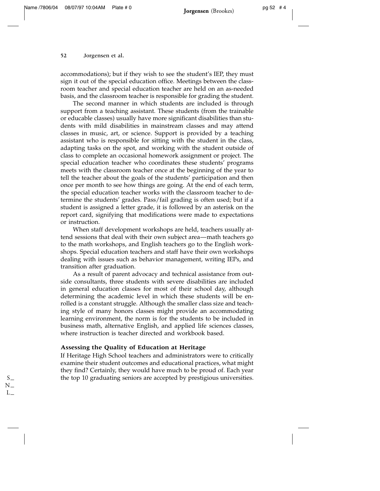accommodations); but if they wish to see the student's IEP, they must sign it out of the special education office. Meetings between the classroom teacher and special education teacher are held on an as-needed basis, and the classroom teacher is responsible for grading the student.

The second manner in which students are included is through support from a teaching assistant. These students (from the trainable or educable classes) usually have more significant disabilities than students with mild disabilities in mainstream classes and may attend classes in music, art, or science. Support is provided by a teaching assistant who is responsible for sitting with the student in the class, adapting tasks on the spot, and working with the student outside of class to complete an occasional homework assignment or project. The special education teacher who coordinates these students' programs meets with the classroom teacher once at the beginning of the year to tell the teacher about the goals of the students' participation and then once per month to see how things are going. At the end of each term, the special education teacher works with the classroom teacher to determine the students' grades. Pass/fail grading is often used; but if a student is assigned a letter grade, it is followed by an asterisk on the report card, signifying that modifications were made to expectations or instruction.

When staff development workshops are held, teachers usually attend sessions that deal with their own subject area—math teachers go to the math workshops, and English teachers go to the English workshops. Special education teachers and staff have their own workshops dealing with issues such as behavior management, writing IEPs, and transition after graduation.

As a result of parent advocacy and technical assistance from outside consultants, three students with severe disabilities are included in general education classes for most of their school day, although determining the academic level in which these students will be enrolled is a constant struggle. Although the smaller class size and teaching style of many honors classes might provide an accommodating learning environment, the norm is for the students to be included in business math, alternative English, and applied life sciences classes, where instruction is teacher directed and workbook based.

#### **Assessing the Quality of Education at Heritage**

If Heritage High School teachers and administrators were to critically examine their student outcomes and educational practices, what might they find? Certainly, they would have much to be proud of. Each year the top 10 graduating seniors are accepted by prestigious universities.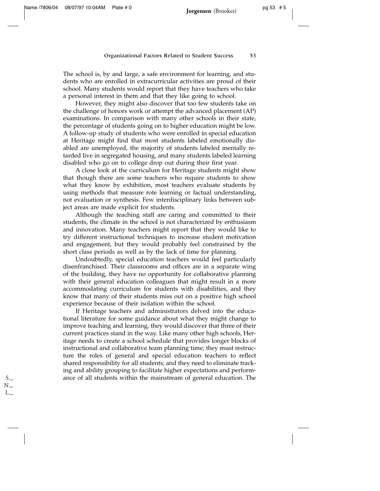**Jorgensen** (Brookes)

The school is, by and large, a safe environment for learning, and students who are enrolled in extracurricular activities are proud of their school. Many students would report that they have teachers who take a personal interest in them and that they like going to school.

However, they might also discover that too few students take on the challenge of honors work or attempt the advanced placement (AP) examinations. In comparison with many other schools in their state, the percentage of students going on to higher education might be low. A follow-up study of students who were enrolled in special education at Heritage might find that most students labeled emotionally disabled are unemployed, the majority of students labeled mentally retarded live in segregated housing, and many students labeled learning disabled who go on to college drop out during their first year.

A close look at the curriculum for Heritage students might show that though there are some teachers who require students to show what they know by exhibition, most teachers evaluate students by using methods that measure rote learning or factual understanding, not evaluation or synthesis. Few interdisciplinary links between subject areas are made explicit for students.

Although the teaching staff are caring and committed to their students, the climate in the school is not characterized by enthusiasm and innovation. Many teachers might report that they would like to try different instructional techniques to increase student motivation and engagement, but they would probably feel constrained by the short class periods as well as by the lack of time for planning.

Undoubtedly, special education teachers would feel particularly disenfranchised. Their classrooms and offices are in a separate wing of the building, they have no opportunity for collaborative planning with their general education colleagues that might result in a more accommodating curriculum for students with disabilities, and they know that many of their students miss out on a positive high school experience because of their isolation within the school.

If Heritage teachers and administrators delved into the educational literature for some guidance about what they might change to improve teaching and learning, they would discover that three of their current practices stand in the way. Like many other high schools, Heritage needs to create a school schedule that provides longer blocks of instructional and collaborative team planning time; they must restructure the roles of general and special education teachers to reflect shared responsibility for all students; and they need to eliminate tracking and ability grouping to facilitate higher expectations and performance of all students within the mainstream of general education. The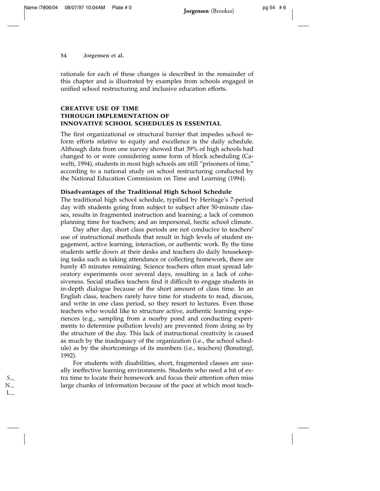rationale for each of these changes is described in the remainder of this chapter and is illustrated by examples from schools engaged in unified school restructuring and inclusive education efforts.

# **CREATIVE USE OF TIME THROUGH IMPLEMENTATION OF INNOVATIVE SCHOOL SCHEDULES IS ESSENTIAL**

The first organizational or structural barrier that impedes school reform efforts relative to equity and excellence is the daily schedule. Although data from one survey showed that 39% of high schools had changed to or were considering some form of block scheduling (Cawelti, 1994), students in most high schools are still ''prisoners of time,'' according to a national study on school restructuring conducted by the National Education Commission on Time and Learning (1994).

#### **Disadvantages of the Traditional High School Schedule**

The traditional high school schedule, typified by Heritage's 7-period day with students going from subject to subject after 50-minute classes, results in fragmented instruction and learning; a lack of common planning time for teachers; and an impersonal, hectic school climate.

Day after day, short class periods are not conducive to teachers' use of instructional methods that result in high levels of student engagement, active learning, interaction, or authentic work. By the time students settle down at their desks and teachers do daily housekeeping tasks such as taking attendance or collecting homework, there are barely 45 minutes remaining. Science teachers often must spread laboratory experiments over several days, resulting in a lack of cohesiveness. Social studies teachers find it difficult to engage students in in-depth dialogue because of the short amount of class time. In an English class, teachers rarely have time for students to read, discuss, and write in one class period, so they resort to lectures. Even those teachers who would like to structure active, authentic learning experiences (e.g., sampling from a nearby pond and conducting experiments to determine pollution levels) are prevented from doing so by the structure of the day. This lack of instructional creativity is caused as much by the inadequacy of the organization (i.e., the school schedule) as by the shortcomings of its members (i.e., teachers) (Bonstingl, 1992).

For students with disabilities, short, fragmented classes are usually ineffective learning environments. Students who need a bit of extra time to locate their homework and focus their attention often miss large chunks of information because of the pace at which most teach-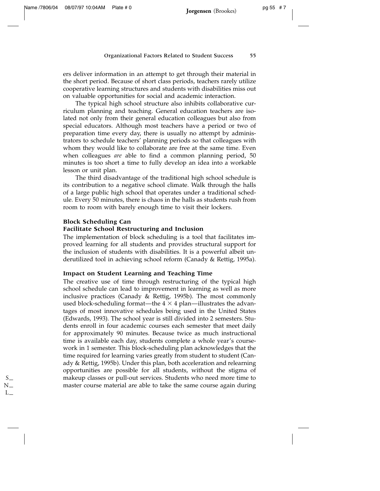**Jorgensen** (Brookes)

ers deliver information in an attempt to get through their material in the short period. Because of short class periods, teachers rarely utilize cooperative learning structures and students with disabilities miss out on valuable opportunities for social and academic interaction.

The typical high school structure also inhibits collaborative curriculum planning and teaching. General education teachers are isolated not only from their general education colleagues but also from special educators. Although most teachers have a period or two of preparation time every day, there is usually no attempt by administrators to schedule teachers' planning periods so that colleagues with whom they would like to collaborate are free at the same time. Even when colleagues *are* able to find a common planning period, 50 minutes is too short a time to fully develop an idea into a workable lesson or unit plan.

The third disadvantage of the traditional high school schedule is its contribution to a negative school climate. Walk through the halls of a large public high school that operates under a traditional schedule. Every 50 minutes, there is chaos in the halls as students rush from room to room with barely enough time to visit their lockers.

# **Block Scheduling Can**

S N  $L_{-}$ 

# **Facilitate School Restructuring and Inclusion**

The implementation of block scheduling is a tool that facilitates improved learning for all students and provides structural support for the inclusion of students with disabilities. It is a powerful albeit underutilized tool in achieving school reform (Canady & Rettig, 1995a).

# **Impact on Student Learning and Teaching Time**

The creative use of time through restructuring of the typical high school schedule can lead to improvement in learning as well as more inclusive practices (Canady & Rettig, 1995b). The most commonly used block-scheduling format—the  $4 \times 4$  plan—illustrates the advantages of most innovative schedules being used in the United States (Edwards, 1993). The school year is still divided into 2 semesters. Students enroll in four academic courses each semester that meet daily for approximately 90 minutes. Because twice as much instructional time is available each day, students complete a whole year's coursework in 1 semester. This block-scheduling plan acknowledges that the time required for learning varies greatly from student to student (Canady & Rettig, 1995b). Under this plan, both acceleration and relearning opportunities are possible for all students, without the stigma of makeup classes or pull-out services. Students who need more time to master course material are able to take the same course again during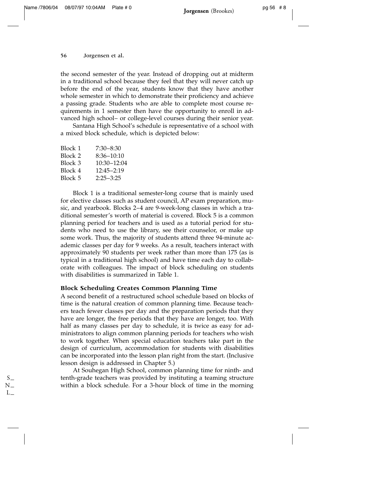the second semester of the year. Instead of dropping out at midterm in a traditional school because they feel that they will never catch up before the end of the year, students know that they have another whole semester in which to demonstrate their proficiency and achieve a passing grade. Students who are able to complete most course requirements in 1 semester then have the opportunity to enroll in advanced high school– or college-level courses during their senior year.

Santana High School's schedule is representative of a school with a mixed block schedule, which is depicted below:

| Block 1 | $7:30 - 8:30$   |
|---------|-----------------|
| Block 2 | 8:36–10:10      |
| Block 3 | $10:30 - 12:04$ |
| Block 4 | $12:45 - 2:19$  |
| Block 5 | $2:25 - 3:25$   |
|         |                 |

Block 1 is a traditional semester-long course that is mainly used for elective classes such as student council, AP exam preparation, music, and yearbook. Blocks 2–4 are 9-week-long classes in which a traditional semester's worth of material is covered. Block 5 is a common planning period for teachers and is used as a tutorial period for students who need to use the library, see their counselor, or make up some work. Thus, the majority of students attend three 94-minute academic classes per day for 9 weeks. As a result, teachers interact with approximately 90 students per week rather than more than 175 (as is typical in a traditional high school) and have time each day to collaborate with colleagues. The impact of block scheduling on students with disabilities is summarized in Table 1.

#### **Block Scheduling Creates Common Planning Time**

A second benefit of a restructured school schedule based on blocks of time is the natural creation of common planning time. Because teachers teach fewer classes per day and the preparation periods that they have are longer, the free periods that they have are longer, too. With half as many classes per day to schedule, it is twice as easy for administrators to align common planning periods for teachers who wish to work together. When special education teachers take part in the design of curriculum, accommodation for students with disabilities can be incorporated into the lesson plan right from the start. (Inclusive lesson design is addressed in Chapter 5.)

At Souhegan High School, common planning time for ninth- and tenth-grade teachers was provided by instituting a teaming structure within a block schedule. For a 3-hour block of time in the morning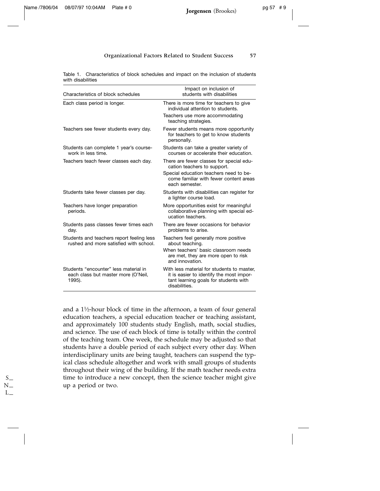$S_{-}$  $N_{-}$  $L_{-}$ 

#### Organizational Factors Related to Student Success 57

Table 1. Characteristics of block schedules and impact on the inclusion of students with disabilities

| Characteristics of block schedules                                                     | Impact on inclusion of<br>students with disabilities                                                                                             |
|----------------------------------------------------------------------------------------|--------------------------------------------------------------------------------------------------------------------------------------------------|
| Each class period is longer.                                                           | There is more time for teachers to give<br>individual attention to students.                                                                     |
|                                                                                        | Teachers use more accommodating<br>teaching strategies.                                                                                          |
| Teachers see fewer students every day.                                                 | Fewer students means more opportunity<br>for teachers to get to know students<br>personally.                                                     |
| Students can complete 1 year's course-<br>work in less time.                           | Students can take a greater variety of<br>courses or accelerate their education.                                                                 |
| Teachers teach fewer classes each day.                                                 | There are fewer classes for special edu-<br>cation teachers to support.                                                                          |
|                                                                                        | Special education teachers need to be-<br>come familiar with fewer content areas<br>each semester.                                               |
| Students take fewer classes per day.                                                   | Students with disabilities can register for<br>a lighter course load.                                                                            |
| Teachers have longer preparation<br>periods.                                           | More opportunities exist for meaningful<br>collaborative planning with special ed-<br>ucation teachers.                                          |
| Students pass classes fewer times each<br>day.                                         | There are fewer occasions for behavior<br>problems to arise.                                                                                     |
| Students and teachers report feeling less<br>rushed and more satisfied with school.    | Teachers feel generally more positive<br>about teaching.                                                                                         |
|                                                                                        | When teachers' basic classroom needs<br>are met, they are more open to risk<br>and innovation.                                                   |
| Students "encounter" less material in<br>each class but master more (O'Neil,<br>1995). | With less material for students to master,<br>it is easier to identify the most impor-<br>tant learning goals for students with<br>disabilities. |

and a  $1\frac{1}{2}$ -hour block of time in the afternoon, a team of four general education teachers, a special education teacher or teaching assistant, and approximately 100 students study English, math, social studies, and science. The use of each block of time is totally within the control of the teaching team. One week, the schedule may be adjusted so that students have a double period of each subject every other day. When interdisciplinary units are being taught, teachers can suspend the typical class schedule altogether and work with small groups of students throughout their wing of the building. If the math teacher needs extra time to introduce a new concept, then the science teacher might give up a period or two.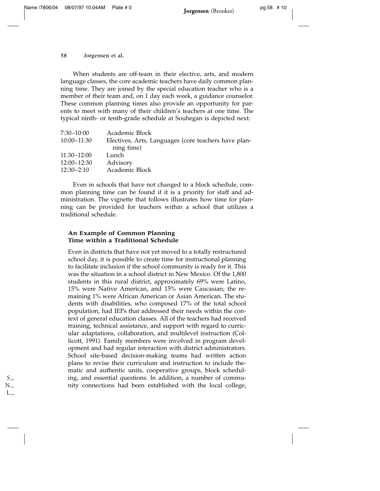When students are off-team in their elective, arts, and modern language classes, the core academic teachers have daily common planning time. They are joined by the special education teacher who is a member of their team and, on 1 day each week, a guidance counselor. These common planning times also provide an opportunity for parents to meet with many of their children's teachers at one time. The typical ninth- or tenth-grade schedule at Souhegan is depicted next:

| $7:30-10:00$    | Academic Block                                       |
|-----------------|------------------------------------------------------|
| $10:00 - 11:30$ | Electives, Arts, Languages (core teachers have plan- |
|                 | ning time)                                           |
| $11:30 - 12:00$ | Lunch                                                |
| $12:00 - 12:30$ | Advisory                                             |
| $12:30 - 2:10$  | Academic Block                                       |
|                 |                                                      |

Even in schools that have not changed to a block schedule, common planning time can be found if it is a priority for staff and administration. The vignette that follows illustrates how time for planning can be provided for teachers within a school that utilizes a traditional schedule.

### **An Example of Common Planning Time within a Traditional Schedule**

S  $N_{-}$  $L_{-}$  Even in districts that have not yet moved to a totally restructured school day, it is possible to create time for instructional planning to facilitate inclusion if the school community is ready for it. This was the situation in a school district in New Mexico. Of the 1,800 students in this rural district, approximately 69% were Latino, 15% were Native American, and 15% were Caucasian; the remaining 1% were African American or Asian American. The students with disabilities, who composed 17% of the total school population, had IEPs that addressed their needs within the context of general education classes. All of the teachers had received training, technical assistance, and support with regard to curricular adaptations, collaboration, and multilevel instruction (Collicott, 1991). Family members were involved in program development and had regular interaction with district administrators. School site-based decision-making teams had written action plans to revise their curriculum and instruction to include thematic and authentic units, cooperative groups, block scheduling, and essential questions. In addition, a number of community connections had been established with the local college,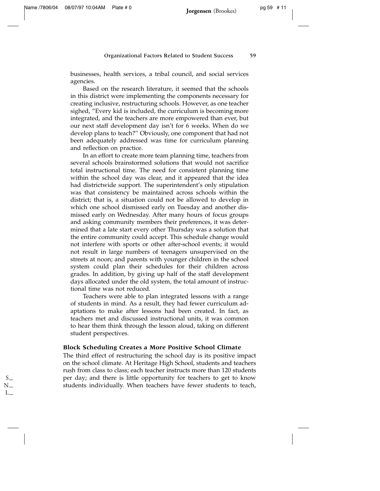**Jorgensen** (Brookes)

businesses, health services, a tribal council, and social services agencies.

Based on the research literature, it seemed that the schools in this district were implementing the components necessary for creating inclusive, restructuring schools. However, as one teacher sighed, ''Every kid is included, the curriculum is becoming more integrated, and the teachers are more empowered than ever, but our next staff development day isn't for 6 weeks. When do we develop plans to teach?'' Obviously, one component that had not been adequately addressed was time for curriculum planning and reflection on practice.

In an effort to create more team planning time, teachers from several schools brainstormed solutions that would not sacrifice total instructional time. The need for consistent planning time within the school day was clear, and it appeared that the idea had districtwide support. The superintendent's only stipulation was that consistency be maintained across schools within the district; that is, a situation could not be allowed to develop in which one school dismissed early on Tuesday and another dismissed early on Wednesday. After many hours of focus groups and asking community members their preferences, it was determined that a late start every other Thursday was a solution that the entire community could accept. This schedule change would not interfere with sports or other after-school events; it would not result in large numbers of teenagers unsupervised on the streets at noon; and parents with younger children in the school system could plan their schedules for their children across grades. In addition, by giving up half of the staff development days allocated under the old system, the total amount of instructional time was not reduced.

Teachers were able to plan integrated lessons with a range of students in mind. As a result, they had fewer curriculum adaptations to make after lessons had been created. In fact, as teachers met and discussed instructional units, it was common to hear them think through the lesson aloud, taking on different student perspectives.

#### **Block Scheduling Creates a More Positive School Climate**

The third effect of restructuring the school day is its positive impact on the school climate. At Heritage High School, students and teachers rush from class to class; each teacher instructs more than 120 students per day; and there is little opportunity for teachers to get to know students individually. When teachers have fewer students to teach,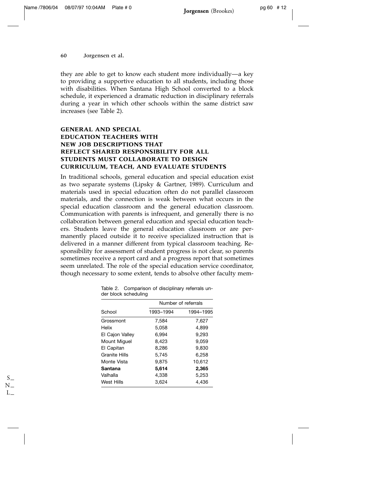S  $N_{-}$  $L_{-}$  60 Jorgensen et al.

they are able to get to know each student more individually—a key to providing a supportive education to all students, including those with disabilities. When Santana High School converted to a block schedule, it experienced a dramatic reduction in disciplinary referrals during a year in which other schools within the same district saw increases (see Table 2).

# **GENERAL AND SPECIAL EDUCATION TEACHERS WITH NEW JOB DESCRIPTIONS THAT REFLECT SHARED RESPONSIBILITY FOR ALL STUDENTS MUST COLLABORATE TO DESIGN CURRICULUM, TEACH, AND EVALUATE STUDENTS**

In traditional schools, general education and special education exist as two separate systems (Lipsky & Gartner, 1989). Curriculum and materials used in special education often do not parallel classroom materials, and the connection is weak between what occurs in the special education classroom and the general education classroom. Communication with parents is infrequent, and generally there is no collaboration between general education and special education teachers. Students leave the general education classroom or are permanently placed outside it to receive specialized instruction that is delivered in a manner different from typical classroom teaching. Responsibility for assessment of student progress is not clear, so parents sometimes receive a report card and a progress report that sometimes seem unrelated. The role of the special education service coordinator, though necessary to some extent, tends to absolve other faculty mem-

|                      |           | Number of referrals |  |  |
|----------------------|-----------|---------------------|--|--|
| School               | 1993-1994 | 1994-1995           |  |  |
| Grossmont            | 7.584     | 7,627               |  |  |
| Helix                | 5,058     | 4.899               |  |  |
| El Cajon Valley      | 6.994     | 9,293               |  |  |
| <b>Mount Miquel</b>  | 8.423     | 9.059               |  |  |
| El Capitan           | 8.286     | 9.830               |  |  |
| <b>Granite Hills</b> | 5,745     | 6,258               |  |  |
| Monte Vista          | 9,875     | 10,612              |  |  |
| Santana              | 5,614     | 2,365               |  |  |
| Valhalla             | 4.338     | 5,253               |  |  |
| <b>West Hills</b>    | 3.624     | 4,436               |  |  |

Table 2. Comparison of disciplinary referrals under block scheduling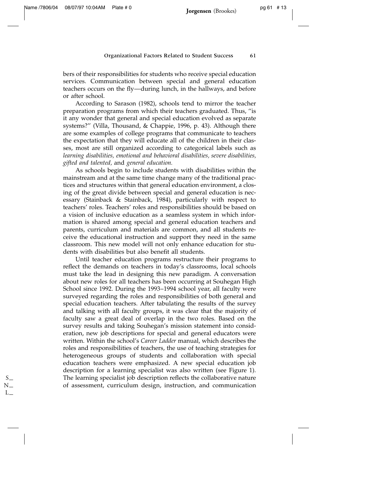**Jorgensen** (Brookes)

S N  $L_{-}$  bers of their responsibilities for students who receive special education services. Communication between special and general education teachers occurs on the fly—during lunch, in the hallways, and before or after school.

According to Sarason (1982), schools tend to mirror the teacher preparation programs from which their teachers graduated. Thus, ''is it any wonder that general and special education evolved as separate systems?'' (Villa, Thousand, & Chappie, 1996, p. 43). Although there are some examples of college programs that communicate to teachers the expectation that they will educate all of the children in their classes, most are still organized according to categorical labels such as *learning disabilities, emotional and behavioral disabilities, severe disabilities, gifted and talented,* and *general education.*

As schools begin to include students with disabilities within the mainstream and at the same time change many of the traditional practices and structures within that general education environment, a closing of the great divide between special and general education is necessary (Stainback & Stainback, 1984), particularly with respect to teachers' roles. Teachers' roles and responsibilities should be based on a vision of inclusive education as a seamless system in which information is shared among special and general education teachers and parents, curriculum and materials are common, and all students receive the educational instruction and support they need in the same classroom. This new model will not only enhance education for students with disabilities but also benefit all students.

Until teacher education programs restructure their programs to reflect the demands on teachers in today's classrooms, local schools must take the lead in designing this new paradigm. A conversation about new roles for all teachers has been occurring at Souhegan High School since 1992. During the 1993–1994 school year, all faculty were surveyed regarding the roles and responsibilities of both general and special education teachers. After tabulating the results of the survey and talking with all faculty groups, it was clear that the majority of faculty saw a great deal of overlap in the two roles. Based on the survey results and taking Souhegan's mission statement into consideration, new job descriptions for special and general educators were written. Within the school's *Career Ladder* manual, which describes the roles and responsibilities of teachers, the use of teaching strategies for heterogeneous groups of students and collaboration with special education teachers were emphasized. A new special education job description for a learning specialist was also written (see Figure 1). The learning specialist job description reflects the collaborative nature of assessment, curriculum design, instruction, and communication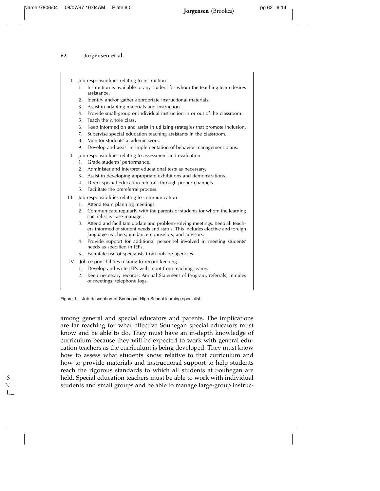|  |  | Job responsibilities relating to instruction |  |  |
|--|--|----------------------------------------------|--|--|
|--|--|----------------------------------------------|--|--|

- 1. Instruction is available to any student for whom the teaching team desires assistance.
- 2. Identify and/or gather appropriate instructional materials.
- 3. Assist in adapting materials and instruction.
- 4. Provide small-group or individual instruction in or out of the classroom.
- 5. Teach the whole class.
- 6. Keep informed on and assist in utilizing strategies that promote inclusion.
- 7. Supervise special education teaching assistants in the classroom.
- 8. Monitor students' academic work.
- 9. Develop and assist in implementation of behavior management plans.
- II. Job responsibilities relating to assessment and evaluation
	- 1. Grade students' performance.
	- 2. Administer and interpret educational tests as necessary.
	- 3. Assist in developing appropriate exhibitions and demonstrations.
	- 4. Direct special education referrals through proper channels.
	- 5. Facilitate the prereferral process.
- III. Job responsibilities relating to communication
	- 1. Attend team planning meetings.
	- 2. Communicate regularly with the parents of students for whom the learning specialist is case manager.
	- 3. Attend and facilitate update and problem-solving meetings. Keep all teachers informed of student needs and status. This includes elective and foreign language teachers, guidance counselors, and advisors.
	- 4. Provide support for additional personnel involved in meeting students' needs as specified in IEPs.
	- 5. Facilitate use of specialists from outside agencies.
- IV. Job responsibilities relating to record keeping
	- 1. Develop and write IEPs with input from teaching teams.
	- 2. Keep necessary records: Annual Statement of Program, referrals, minutes of meetings, telephone logs.

Figure 1. Job description of Souhegan High School learning specialist.

S  $N_{-}$ L.

among general and special educators and parents. The implications are far reaching for what effective Souhegan special educators must know and be able to do. They must have an in-depth knowledge of curriculum because they will be expected to work with general education teachers as the curriculum is being developed. They must know how to assess what students know relative to that curriculum and how to provide materials and instructional support to help students reach the rigorous standards to which all students at Souhegan are held. Special education teachers must be able to work with individual students and small groups and be able to manage large-group instruc-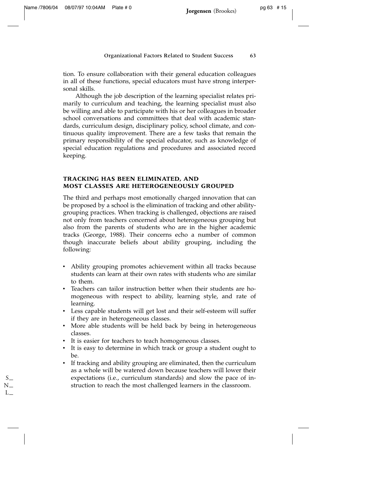tion. To ensure collaboration with their general education colleagues in all of these functions, special educators must have strong interpersonal skills.

Although the job description of the learning specialist relates primarily to curriculum and teaching, the learning specialist must also be willing and able to participate with his or her colleagues in broader school conversations and committees that deal with academic standards, curriculum design, disciplinary policy, school climate, and continuous quality improvement. There are a few tasks that remain the primary responsibility of the special educator, such as knowledge of special education regulations and procedures and associated record keeping.

# **TRACKING HAS BEEN ELIMINATED, AND MOST CLASSES ARE HETEROGENEOUSLY GROUPED**

The third and perhaps most emotionally charged innovation that can be proposed by a school is the elimination of tracking and other abilitygrouping practices. When tracking is challenged, objections are raised not only from teachers concerned about heterogeneous grouping but also from the parents of students who are in the higher academic tracks (George, 1988). Their concerns echo a number of common though inaccurate beliefs about ability grouping, including the following:

- Ability grouping promotes achievement within all tracks because students can learn at their own rates with students who are similar to them.
- Teachers can tailor instruction better when their students are homogeneous with respect to ability, learning style, and rate of learning.
- Less capable students will get lost and their self-esteem will suffer if they are in heterogeneous classes.
- More able students will be held back by being in heterogeneous classes.
- It is easier for teachers to teach homogeneous classes.

S  $N_{-}$  $\mathbf{L}$ 

- It is easy to determine in which track or group a student ought to be.
- If tracking and ability grouping are eliminated, then the curriculum as a whole will be watered down because teachers will lower their expectations (i.e., curriculum standards) and slow the pace of instruction to reach the most challenged learners in the classroom.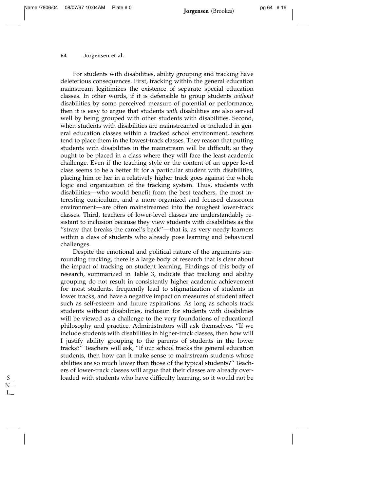S  $N_{-}$  $L_{-}$  64 Jorgensen et al.

For students with disabilities, ability grouping and tracking have deleterious consequences. First, tracking within the general education mainstream legitimizes the existence of separate special education classes. In other words, if it is defensible to group students *without* disabilities by some perceived measure of potential or performance, then it is easy to argue that students *with* disabilities are also served well by being grouped with other students with disabilities. Second, when students with disabilities are mainstreamed or included in general education classes within a tracked school environment, teachers tend to place them in the lowest-track classes. They reason that putting students with disabilities in the mainstream will be difficult, so they ought to be placed in a class where they will face the least academic challenge. Even if the teaching style or the content of an upper-level class seems to be a better fit for a particular student with disabilities, placing him or her in a relatively higher track goes against the whole logic and organization of the tracking system. Thus, students with disabilities—who would benefit from the best teachers, the most interesting curriculum, and a more organized and focused classroom environment—are often mainstreamed into the roughest lower-track classes. Third, teachers of lower-level classes are understandably resistant to inclusion because they view students with disabilities as the ''straw that breaks the camel's back''—that is, as very needy learners within a class of students who already pose learning and behavioral challenges.

Despite the emotional and political nature of the arguments surrounding tracking, there is a large body of research that is clear about the impact of tracking on student learning. Findings of this body of research, summarized in Table 3, indicate that tracking and ability grouping do not result in consistently higher academic achievement for most students, frequently lead to stigmatization of students in lower tracks, and have a negative impact on measures of student affect such as self-esteem and future aspirations. As long as schools track students without disabilities, inclusion for students with disabilities will be viewed as a challenge to the very foundations of educational philosophy and practice. Administrators will ask themselves, ''If we include students with disabilities in higher-track classes, then how will I justify ability grouping to the parents of students in the lower tracks?'' Teachers will ask, ''If our school tracks the general education students, then how can it make sense to mainstream students whose abilities are so much lower than those of the typical students?'' Teachers of lower-track classes will argue that their classes are already overloaded with students who have difficulty learning, so it would not be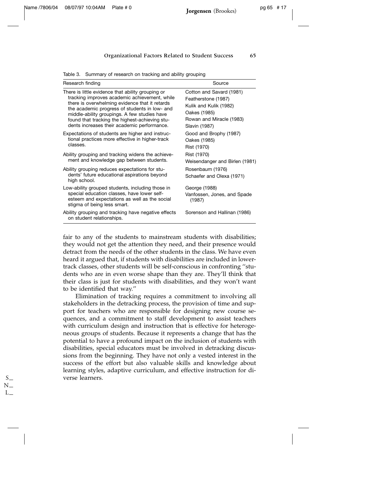S  $N_{-}$  $L_{-}$ 

#### Organizational Factors Related to Student Success 65

Table 3. Summary of research on tracking and ability grouping

| Research finding                                                                                                                                                                                                                                                                                                                                       | Source                                                                                                                                 |
|--------------------------------------------------------------------------------------------------------------------------------------------------------------------------------------------------------------------------------------------------------------------------------------------------------------------------------------------------------|----------------------------------------------------------------------------------------------------------------------------------------|
| There is little evidence that ability grouping or<br>tracking improves academic achievement, while<br>there is overwhelming evidence that it retards<br>the academic progress of students in low- and<br>middle-ability groupings. A few studies have<br>found that tracking the highest-achieving stu-<br>dents increases their academic performance. | Cotton and Savard (1981)<br>Featherstone (1987)<br>Kulik and Kulik (1982)<br>Oakes (1985)<br>Rowan and Miracle (1983)<br>Slavin (1987) |
| Expectations of students are higher and instruc-<br>tional practices more effective in higher-track<br>classes.                                                                                                                                                                                                                                        | Good and Brophy (1987)<br>Oakes (1985)<br>Rist (1970)                                                                                  |
| Ability grouping and tracking widens the achieve-<br>ment and knowledge gap between students.                                                                                                                                                                                                                                                          | Rist (1970)<br>Weisendanger and Birlen (1981)                                                                                          |
| Ability grouping reduces expectations for stu-<br>dents' future educational aspirations beyond<br>high school.                                                                                                                                                                                                                                         | Rosenbaum (1976)<br>Schaefer and Olexa (1971)                                                                                          |
| Low-ability grouped students, including those in<br>special education classes, have lower self-<br>esteem and expectations as well as the social<br>stigma of being less smart.                                                                                                                                                                        | George (1988)<br>Vanfossen, Jones, and Spade<br>(1987)                                                                                 |
| Ability grouping and tracking have negative effects<br>on student relationships.                                                                                                                                                                                                                                                                       | Sorenson and Hallinan (1986)                                                                                                           |

fair to any of the students to mainstream students with disabilities; they would not get the attention they need, and their presence would detract from the needs of the other students in the class. We have even heard it argued that, if students with disabilities are included in lowertrack classes, other students will be self-conscious in confronting ''students who are in even worse shape than they are. They'll think that their class is just for students with disabilities, and they won't want to be identified that way.''

Elimination of tracking requires a commitment to involving all stakeholders in the detracking process, the provision of time and support for teachers who are responsible for designing new course sequences, and a commitment to staff development to assist teachers with curriculum design and instruction that is effective for heterogeneous groups of students. Because it represents a change that has the potential to have a profound impact on the inclusion of students with disabilities, special educators must be involved in detracking discussions from the beginning. They have not only a vested interest in the success of the effort but also valuable skills and knowledge about learning styles, adaptive curriculum, and effective instruction for diverse learners.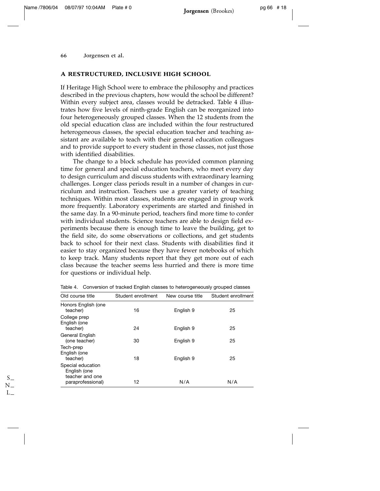#### **A RESTRUCTURED, INCLUSIVE HIGH SCHOOL**

If Heritage High School were to embrace the philosophy and practices described in the previous chapters, how would the school be different? Within every subject area, classes would be detracked. Table 4 illustrates how five levels of ninth-grade English can be reorganized into four heterogeneously grouped classes. When the 12 students from the old special education class are included within the four restructured heterogeneous classes, the special education teacher and teaching assistant are available to teach with their general education colleagues and to provide support to every student in those classes, not just those with identified disabilities.

The change to a block schedule has provided common planning time for general and special education teachers, who meet every day to design curriculum and discuss students with extraordinary learning challenges. Longer class periods result in a number of changes in curriculum and instruction. Teachers use a greater variety of teaching techniques. Within most classes, students are engaged in group work more frequently. Laboratory experiments are started and finished in the same day. In a 90-minute period, teachers find more time to confer with individual students. Science teachers are able to design field experiments because there is enough time to leave the building, get to the field site, do some observations or collections, and get students back to school for their next class. Students with disabilities find it easier to stay organized because they have fewer notebooks of which to keep track. Many students report that they get more out of each class because the teacher seems less hurried and there is more time for questions or individual help.

| Old course title                                     | Student enrollment | New course title | Student enrollment |
|------------------------------------------------------|--------------------|------------------|--------------------|
| Honors English (one<br>teacher)                      | 16                 | English 9        | 25                 |
| College prep<br>English (one<br>teacher)             | 24                 | English 9        | 25                 |
| General English<br>(one teacher)                     | 30                 | English 9        | 25                 |
| Tech-prep<br>English (one<br>teacher)                | 18                 | English 9        | 25                 |
| Special education<br>English (one<br>teacher and one | 12                 | N/A              | N/A                |
| paraprofessional)                                    |                    |                  |                    |

Table 4. Conversion of tracked English classes to heterogeneously grouped classes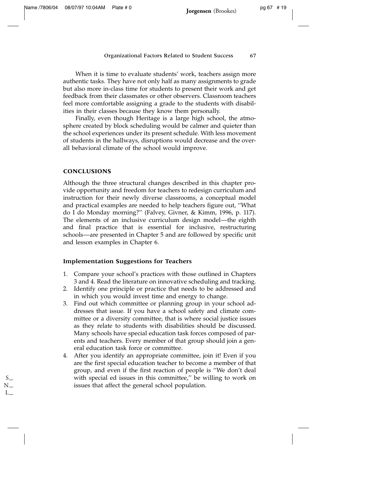When it is time to evaluate students' work, teachers assign more authentic tasks. They have not only half as many assignments to grade but also more in-class time for students to present their work and get feedback from their classmates or other observers. Classroom teachers feel more comfortable assigning a grade to the students with disabilities in their classes because they know them personally.

Finally, even though Heritage is a large high school, the atmosphere created by block scheduling would be calmer and quieter than the school experiences under its present schedule. With less movement of students in the hallways, disruptions would decrease and the overall behavioral climate of the school would improve.

#### **CONCLUSIONS**

S  $N_{-}$ L.

Although the three structural changes described in this chapter provide opportunity and freedom for teachers to redesign curriculum and instruction for their newly diverse classrooms, a conceptual model and practical examples are needed to help teachers figure out, ''What do I do Monday morning?'' (Falvey, Givner, & Kimm, 1996, p. 117). The elements of an inclusive curriculum design model—the eighth and final practice that is essential for inclusive, restructuring schools—are presented in Chapter 5 and are followed by specific unit and lesson examples in Chapter 6.

#### **Implementation Suggestions for Teachers**

- 1. Compare your school's practices with those outlined in Chapters 3 and 4. Read the literature on innovative scheduling and tracking.
- 2. Identify one principle or practice that needs to be addressed and in which you would invest time and energy to change.
- Find out which committee or planning group in your school addresses that issue. If you have a school safety and climate committee or a diversity committee, that is where social justice issues as they relate to students with disabilities should be discussed. Many schools have special education task forces composed of parents and teachers. Every member of that group should join a general education task force or committee.
- 4. After you identify an appropriate committee, join it! Even if you are the first special education teacher to become a member of that group, and even if the first reaction of people is ''We don't deal with special ed issues in this committee," be willing to work on issues that affect the general school population.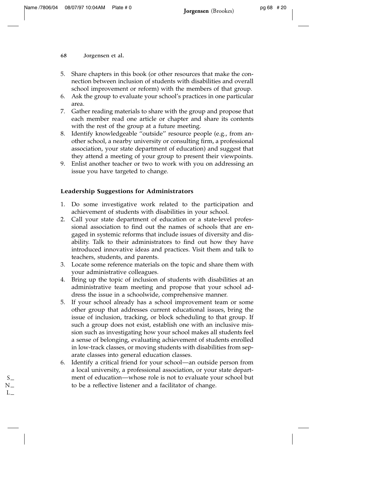- 5. Share chapters in this book (or other resources that make the connection between inclusion of students with disabilities and overall school improvement or reform) with the members of that group.
- 6. Ask the group to evaluate your school's practices in one particular area.
- 7. Gather reading materials to share with the group and propose that each member read one article or chapter and share its contents with the rest of the group at a future meeting.
- 8. Identify knowledgeable ''outside'' resource people (e.g., from another school, a nearby university or consulting firm, a professional association, your state department of education) and suggest that they attend a meeting of your group to present their viewpoints.
- 9. Enlist another teacher or two to work with you on addressing an issue you have targeted to change.

# **Leadership Suggestions for Administrators**

- 1. Do some investigative work related to the participation and achievement of students with disabilities in your school.
- 2. Call your state department of education or a state-level professional association to find out the names of schools that are engaged in systemic reforms that include issues of diversity and disability. Talk to their administrators to find out how they have introduced innovative ideas and practices. Visit them and talk to teachers, students, and parents.
- 3. Locate some reference materials on the topic and share them with your administrative colleagues.
- 4. Bring up the topic of inclusion of students with disabilities at an administrative team meeting and propose that your school address the issue in a schoolwide, comprehensive manner.
- 5. If your school already has a school improvement team or some other group that addresses current educational issues, bring the issue of inclusion, tracking, or block scheduling to that group. If such a group does not exist, establish one with an inclusive mission such as investigating how your school makes all students feel a sense of belonging, evaluating achievement of students enrolled in low-track classes, or moving students with disabilities from separate classes into general education classes.
- 6. Identify a critical friend for your school—an outside person from a local university, a professional association, or your state department of education—whose role is not to evaluate your school but to be a reflective listener and a facilitator of change.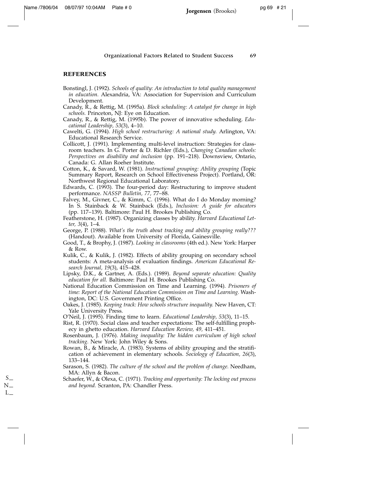#### **REFERENCES**

S N  $L_{-}$ 

- Bonstingl, J. (1992). *Schools of quality: An introduction to total quality management in education.* Alexandria, VA: Association for Supervision and Curriculum Development.
- Canady, R., & Rettig, M. (1995a). *Block scheduling: A catalyst for change in high schools.* Princeton, NJ: Eye on Education.
- Canady, R., & Rettig, M. (1995b). The power of innovative scheduling. *Educational Leadership, 53*(3), 4–10.
- Cawelti, G. (1994). *High school restructuring: A national study.* Arlington, VA: Educational Research Service.
- Collicott, J. (1991). Implementing multi-level instruction: Strategies for classroom teachers. In G. Porter & D. Richler (Eds.), *Changing Canadian schools: Perspectives on disability and inclusion* (pp. 191–218). Downsview, Ontario, Canada: G. Allan Roeher Institute.
- Cotton, K., & Savard, W. (1981). *Instructional grouping: Ability grouping* (Topic Summary Report, Research on School Effectiveness Project). Portland, OR: Northwest Regional Educational Laboratory.
- Edwards, C. (1993). The four-period day: Restructuring to improve student performance. *NASSP Bulletin, 77,* 77–88.
- Falvey, M., Givner, C., & Kimm, C. (1996). What do I do Monday morning? In S. Stainback & W. Stainback (Eds.), *Inclusion: A guide for educators* (pp. 117–139). Baltimore: Paul H. Brookes Publishing Co.
- Featherstone, H. (1987). Organizing classes by ability. *Harvard Educational Letter, 3*(4), 1–4.
- George, P. (1988). *What's the truth about tracking and ability grouping really???* (Handout). Available from University of Florida, Gainesville.
- Good, T., & Brophy, J. (1987). *Looking in classrooms* (4th ed.). New York: Harper & Row.
- Kulik, C., & Kulik, J. (1982). Effects of ability grouping on secondary school students: A meta-analysis of evaluation findings. *American Educational Research Journal, 19*(3), 415–428.
- Lipsky, D.K., & Gartner, A. (Eds.). (1989). *Beyond separate education: Quality education for all.* Baltimore: Paul H. Brookes Publishing Co.
- National Education Commission on Time and Learning. (1994). *Prisoners of time: Report of the National Education Commission on Time and Learning.* Washington, DC: U.S. Government Printing Office.
- Oakes, J. (1985). *Keeping track: How schools structure inequality.* New Haven, CT: Yale University Press.
- O'Neil, J. (1995). Finding time to learn. *Educational Leadership, 53*(3), 11–15.
- Rist, R. (1970). Social class and teacher expectations: The self-fulfilling prophecy in ghetto education. *Harvard Education Review, 49,* 411–451.
- Rosenbaum, J. (1976). *Making inequality: The hidden curriculum of high school tracking.* New York: John Wiley & Sons.
- Rowan, B., & Miracle, A. (1983). Systems of ability grouping and the stratification of achievement in elementary schools. *Sociology of Education, 26*(3), 133–144.
- Sarason, S. (1982). *The culture of the school and the problem of change.* Needham, MA: Allyn & Bacon.
- Schaefer, W., & Olexa, C. (1971). *Tracking and opportunity: The locking out process and beyond.* Scranton, PA: Chandler Press.